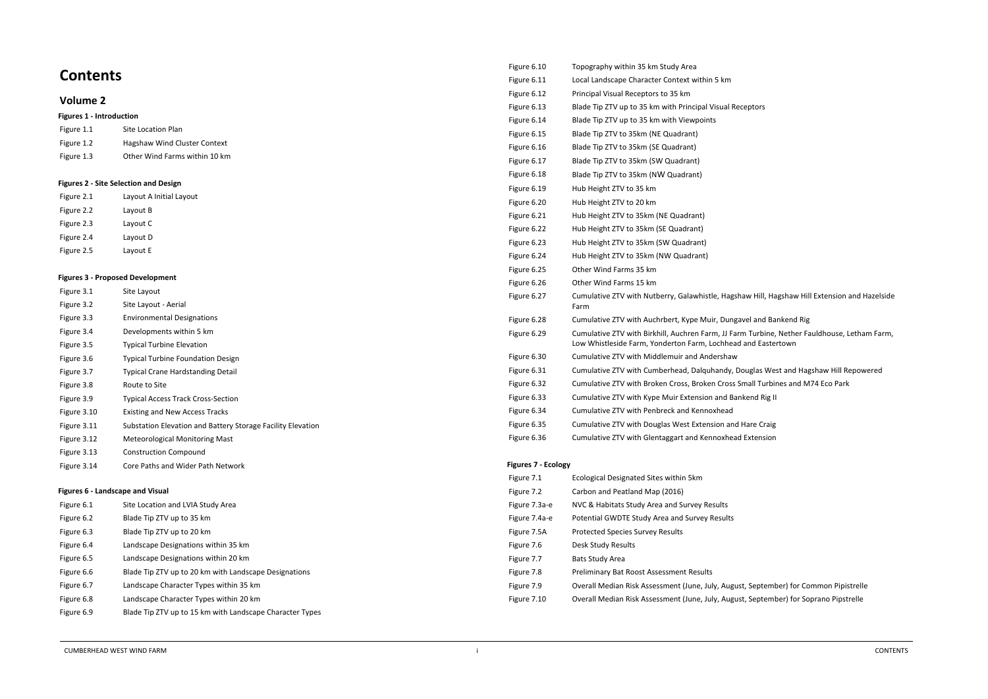# **Contents**

# **Volume 2**

#### **Figures 1 - Introduction**

| Figure 1.1 | Site Location Plan            |
|------------|-------------------------------|
| Figure 1.2 | Hagshaw Wind Cluster Context  |
| Figure 1.3 | Other Wind Farms within 10 km |

#### **Figures 2 - Site Selection and Design**

| Figure 2.1 | Layout A Initial Layout |
|------------|-------------------------|
| Figure 2.2 | Layout B                |
| Figure 2.3 | Layout C                |
| Figure 2.4 | Layout D                |
| Figure 2.5 | Layout E                |

#### **Figures 3 - Proposed Development**

| Figure 3.1  | Site Layout                                                 |
|-------------|-------------------------------------------------------------|
| Figure 3.2  | Site Layout - Aerial                                        |
| Figure 3.3  | <b>Environmental Designations</b>                           |
| Figure 3.4  | Developments within 5 km                                    |
| Figure 3.5  | <b>Typical Turbine Elevation</b>                            |
| Figure 3.6  | <b>Typical Turbine Foundation Design</b>                    |
| Figure 3.7  | <b>Typical Crane Hardstanding Detail</b>                    |
| Figure 3.8  | Route to Site                                               |
| Figure 3.9  | <b>Typical Access Track Cross-Section</b>                   |
| Figure 3.10 | <b>Existing and New Access Tracks</b>                       |
| Figure 3.11 | Substation Elevation and Battery Storage Facility Elevation |
| Figure 3.12 | <b>Meteorological Monitoring Mast</b>                       |
| Figure 3.13 | <b>Construction Compound</b>                                |
| Figure 3.14 | Core Paths and Wider Path Network                           |

#### 1.1.1 **Figures 6 - Landscape and Visual**

| Figure 6.1 | Site Location and LVIA Study Area                        |
|------------|----------------------------------------------------------|
| Figure 6.2 | Blade Tip ZTV up to 35 km                                |
| Figure 6.3 | Blade Tip ZTV up to 20 km                                |
| Figure 6.4 | Landscape Designations within 35 km                      |
| Figure 6.5 | Landscape Designations within 20 km                      |
| Figure 6.6 | Blade Tip ZTV up to 20 km with Landscape Designations    |
| Figure 6.7 | Landscape Character Types within 35 km                   |
| Figure 6.8 | Landscape Character Types within 20 km                   |
| Figure 6.9 | Blade Tip ZTV up to 15 km with Landscape Character Types |

| Figure 6.10 | Topography within 35 km Study Area                                                                                |
|-------------|-------------------------------------------------------------------------------------------------------------------|
| Figure 6.11 | Local Landscape Character Context within 5 km                                                                     |
| Figure 6.12 | Principal Visual Receptors to 35 km                                                                               |
| Figure 6.13 | Blade Tip ZTV up to 35 km with Principal Visual Receptors                                                         |
| Figure 6.14 | Blade Tip ZTV up to 35 km with Viewpoints                                                                         |
| Figure 6.15 | Blade Tip ZTV to 35km (NE Quadrant)                                                                               |
| Figure 6.16 | Blade Tip ZTV to 35km (SE Quadrant)                                                                               |
| Figure 6.17 | Blade Tip ZTV to 35km (SW Quadrant)                                                                               |
| Figure 6.18 | Blade Tip ZTV to 35km (NW Quadrant)                                                                               |
| Figure 6.19 | Hub Height ZTV to 35 km                                                                                           |
| Figure 6.20 | Hub Height ZTV to 20 km                                                                                           |
| Figure 6.21 | Hub Height ZTV to 35km (NE Quadrant)                                                                              |
| Figure 6.22 | Hub Height ZTV to 35km (SE Quadrant)                                                                              |
| Figure 6.23 | Hub Height ZTV to 35km (SW Quadrant)                                                                              |
| Figure 6.24 | Hub Height ZTV to 35km (NW Quadrant)                                                                              |
| Figure 6.25 | Other Wind Farms 35 km                                                                                            |
| Figure 6.26 | Other Wind Farms 15 km                                                                                            |
| Figure 6.27 | Cumulative ZTV with Nutberry, Galawhistle, Hagshaw Hill<br>Farm                                                   |
| Figure 6.28 | Cumulative ZTV with Auchrbert, Kype Muir, Dungavel and                                                            |
| Figure 6.29 | Cumulative ZTV with Birkhill, Auchren Farm, JJ Farm Turb<br>Low Whistleside Farm, Yonderton Farm, Lochhead and Ea |
| Figure 6.30 | Cumulative ZTV with Middlemuir and Andershaw                                                                      |
| Figure 6.31 | Cumulative ZTV with Cumberhead, Dalquhandy, Douglas                                                               |
| Figure 6.32 | Cumulative ZTV with Broken Cross, Broken Cross Small Tu                                                           |
| Figure 6.33 | Cumulative ZTV with Kype Muir Extension and Bankend R                                                             |
| Figure 6.34 | Cumulative ZTV with Penbreck and Kennoxhead                                                                       |
| Figure 6.35 | Cumulative ZTV with Douglas West Extension and Hare Co                                                            |
| Figure 6.36 | Cumulative ZTV with Glentaggart and Kennoxhead Extens                                                             |
|             |                                                                                                                   |

#### **Figures 7 - Ecology**

| Figure 7.1    | Ecological Designated Sites within 5km             |
|---------------|----------------------------------------------------|
| Figure 7.2    | Carbon and Peatland Map (2016)                     |
| Figure 7.3a-e | NVC & Habitats Study Area and Survey Results       |
| Figure 7.4a-e | Potential GWDTE Study Area and Survey Results      |
| Figure 7.5A   | <b>Protected Species Survey Results</b>            |
| Figure 7.6    | Desk Study Results                                 |
| Figure 7.7    | <b>Bats Study Area</b>                             |
| Figure 7.8    | <b>Preliminary Bat Roost Assessment Results</b>    |
| Figure 7.9    | Overall Median Risk Assessment (June, July, August |
| Figure 7.10   | Overall Median Risk Assessment (June, July, August |
|               |                                                    |

Iw Hill, Hagshaw Hill Extension and Hazelside

vel and Bankend Rig Furbine, Nether Fauldhouse, Letham Farm, and Eastertown

uglas West and Hagshaw Hill Repowered nall Turbines and M74 Eco Park end Rig II

**Fare Craig** Extension

st, September) for Common Pipistrelle st, September) for Soprano Pipstrelle